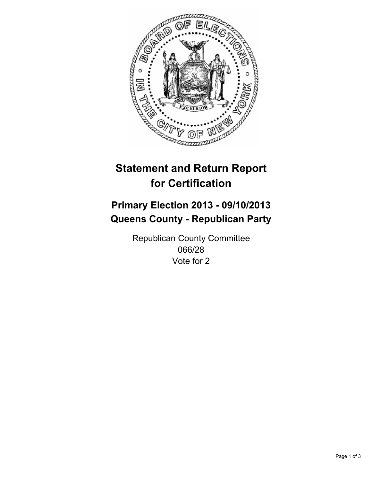

# **Statement and Return Report for Certification**

## **Primary Election 2013 - 09/10/2013 Queens County - Republican Party**

Republican County Committee 066/28 Vote for 2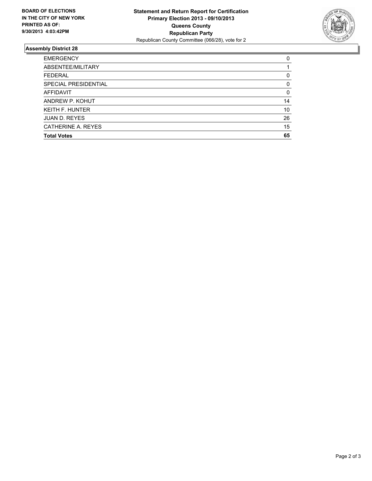

### **Assembly District 28**

| 0        |
|----------|
|          |
| 0        |
| $\Omega$ |
| 0        |
| 14       |
| 10       |
| 26       |
| 15       |
| 65       |
|          |